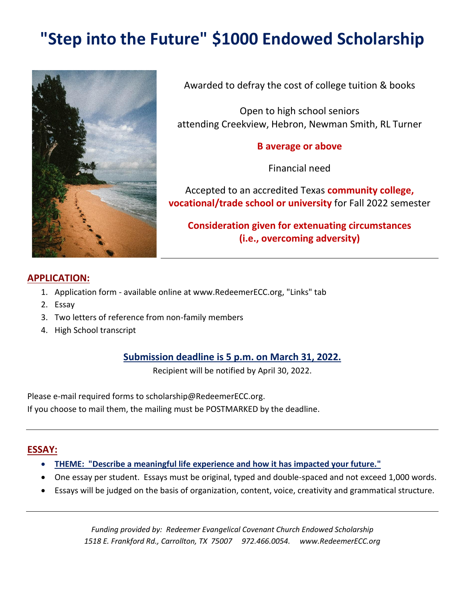# **"Step into the Future" \$1000 Endowed Scholarship**



Awarded to defray the cost of college tuition & books

Open to high school seniors attending Creekview, Hebron, Newman Smith, RL Turner

#### **B average or above**

Financial need

Accepted to an accredited Texas **community college, vocational/trade school or university** for Fall 2022 semester

**Consideration given for extenuating circumstances (i.e., overcoming adversity)**

#### **APPLICATION:**

- 1. Application form available online at www.RedeemerECC.org, "Links" tab
- 2. Essay
- 3. Two letters of reference from non-family members
- 4. High School transcript

#### **Submission deadline is 5 p.m. on March 31, 2022.**

Recipient will be notified by April 30, 2022.

Please e-mail required forms to scholarship@RedeemerECC.org. If you choose to mail them, the mailing must be POSTMARKED by the deadline.

#### **ESSAY:**

- **THEME: "Describe a meaningful life experience and how it has impacted your future."**
- One essay per student. Essays must be original, typed and double-spaced and not exceed 1,000 words.
- Essays will be judged on the basis of organization, content, voice, creativity and grammatical structure.

*Funding provided by: Redeemer Evangelical Covenant Church Endowed Scholarship 1518 E. Frankford Rd., Carrollton, TX 75007 972.466.0054. www.RedeemerECC.org*